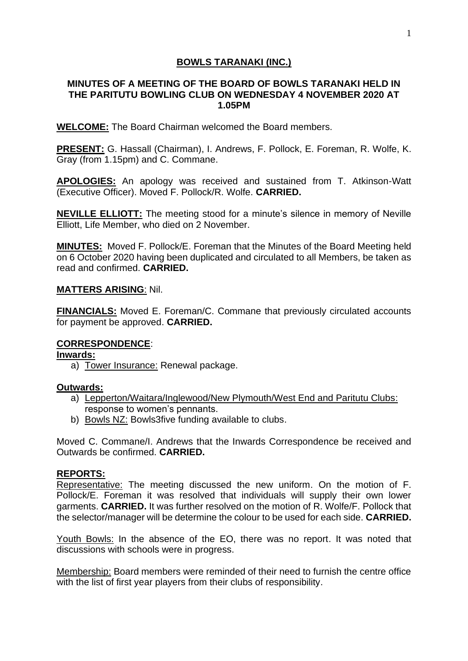## **BOWLS TARANAKI (INC.)**

### **MINUTES OF A MEETING OF THE BOARD OF BOWLS TARANAKI HELD IN THE PARITUTU BOWLING CLUB ON WEDNESDAY 4 NOVEMBER 2020 AT 1.05PM**

**WELCOME:** The Board Chairman welcomed the Board members.

**PRESENT:** G. Hassall (Chairman), I. Andrews, F. Pollock, E. Foreman, R. Wolfe, K. Gray (from 1.15pm) and C. Commane.

**APOLOGIES:** An apology was received and sustained from T. Atkinson-Watt (Executive Officer). Moved F. Pollock/R. Wolfe. **CARRIED.**

**NEVILLE ELLIOTT:** The meeting stood for a minute's silence in memory of Neville Elliott, Life Member, who died on 2 November.

**MINUTES:** Moved F. Pollock/E. Foreman that the Minutes of the Board Meeting held on 6 October 2020 having been duplicated and circulated to all Members, be taken as read and confirmed. **CARRIED.**

#### **MATTERS ARISING**: Nil.

**FINANCIALS:** Moved E. Foreman/C. Commane that previously circulated accounts for payment be approved. **CARRIED.**

### **CORRESPONDENCE**:

**Inwards:**

a) Tower Insurance: Renewal package.

### **Outwards:**

- a) Lepperton/Waitara/Inglewood/New Plymouth/West End and Paritutu Clubs: response to women's pennants.
- b) Bowls NZ: Bowls3five funding available to clubs.

Moved C. Commane/I. Andrews that the Inwards Correspondence be received and Outwards be confirmed. **CARRIED.**

### **REPORTS:**

Representative: The meeting discussed the new uniform. On the motion of F. Pollock/E. Foreman it was resolved that individuals will supply their own lower garments. **CARRIED.** It was further resolved on the motion of R. Wolfe/F. Pollock that the selector/manager will be determine the colour to be used for each side. **CARRIED.**

Youth Bowls: In the absence of the EO, there was no report. It was noted that discussions with schools were in progress.

Membership: Board members were reminded of their need to furnish the centre office with the list of first year players from their clubs of responsibility.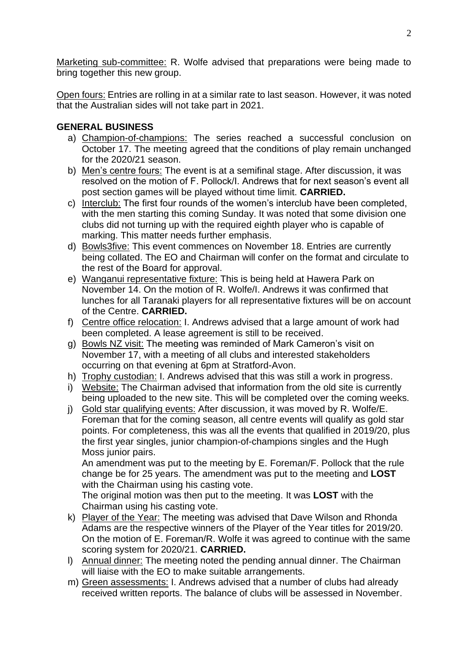Marketing sub-committee: R. Wolfe advised that preparations were being made to bring together this new group.

Open fours: Entries are rolling in at a similar rate to last season. However, it was noted that the Australian sides will not take part in 2021.

# **GENERAL BUSINESS**

- a) Champion-of-champions: The series reached a successful conclusion on October 17. The meeting agreed that the conditions of play remain unchanged for the 2020/21 season.
- b) Men's centre fours: The event is at a semifinal stage. After discussion, it was resolved on the motion of F. Pollock/I. Andrews that for next season's event all post section games will be played without time limit. **CARRIED.**
- c) Interclub: The first four rounds of the women's interclub have been completed, with the men starting this coming Sunday. It was noted that some division one clubs did not turning up with the required eighth player who is capable of marking. This matter needs further emphasis.
- d) Bowls3five: This event commences on November 18. Entries are currently being collated. The EO and Chairman will confer on the format and circulate to the rest of the Board for approval.
- e) Wanganui representative fixture: This is being held at Hawera Park on November 14. On the motion of R. Wolfe/I. Andrews it was confirmed that lunches for all Taranaki players for all representative fixtures will be on account of the Centre. **CARRIED.**
- f) Centre office relocation: I. Andrews advised that a large amount of work had been completed. A lease agreement is still to be received.
- g) Bowls NZ visit: The meeting was reminded of Mark Cameron's visit on November 17, with a meeting of all clubs and interested stakeholders occurring on that evening at 6pm at Stratford-Avon.
- h) Trophy custodian: I. Andrews advised that this was still a work in progress.
- i) Website: The Chairman advised that information from the old site is currently being uploaded to the new site. This will be completed over the coming weeks.
- j) Gold star qualifying events: After discussion, it was moved by R. Wolfe/E. Foreman that for the coming season, all centre events will qualify as gold star points. For completeness, this was all the events that qualified in 2019/20, plus the first year singles, junior champion-of-champions singles and the Hugh Moss junior pairs.

An amendment was put to the meeting by E. Foreman/F. Pollock that the rule change be for 25 years. The amendment was put to the meeting and **LOST** with the Chairman using his casting vote.

The original motion was then put to the meeting. It was **LOST** with the Chairman using his casting vote.

- k) Player of the Year: The meeting was advised that Dave Wilson and Rhonda Adams are the respective winners of the Player of the Year titles for 2019/20. On the motion of E. Foreman/R. Wolfe it was agreed to continue with the same scoring system for 2020/21. **CARRIED.**
- l) Annual dinner: The meeting noted the pending annual dinner. The Chairman will liaise with the EO to make suitable arrangements.
- m) Green assessments: I. Andrews advised that a number of clubs had already received written reports. The balance of clubs will be assessed in November.